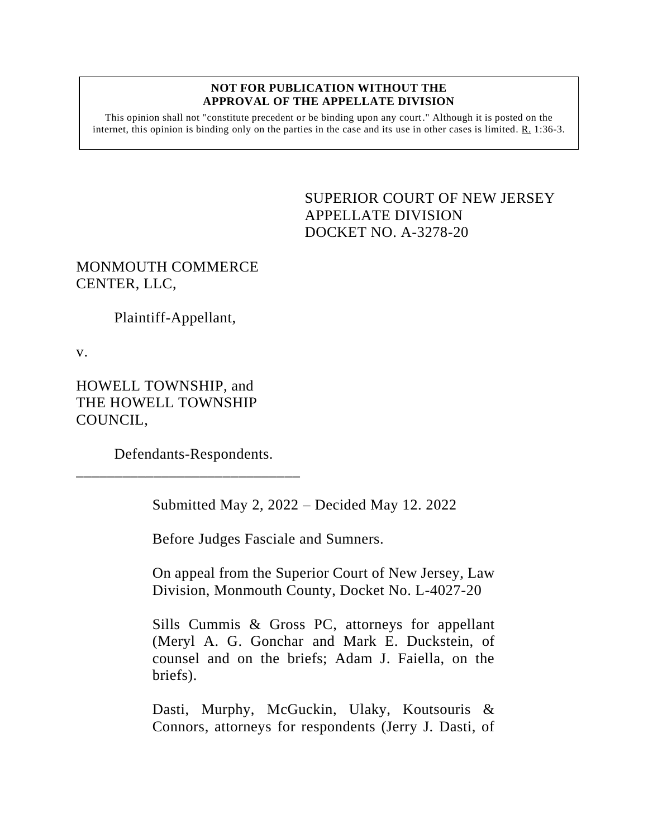#### **NOT FOR PUBLICATION WITHOUT THE APPROVAL OF THE APPELLATE DIVISION**

This opinion shall not "constitute precedent or be binding upon any court." Although it is posted on the internet, this opinion is binding only on the parties in the case and its use in other cases is limited.  $R_1$  1:36-3.

> <span id="page-0-0"></span>SUPERIOR COURT OF NEW JERSEY APPELLATE DIVISION DOCKET NO. A-3278-20

# MONMOUTH COMMERCE CENTER, LLC,

Plaintiff-Appellant,

v.

HOWELL TOWNSHIP, and THE HOWELL TOWNSHIP COUNCIL,

Defendants-Respondents.

\_\_\_\_\_\_\_\_\_\_\_\_\_\_\_\_\_\_\_\_\_\_\_\_\_\_\_\_\_

Submitted May 2, 2022 – Decided May 12. 2022

Before Judges Fasciale and Sumners.

On appeal from the Superior Court of New Jersey, Law Division, Monmouth County, Docket No. L-4027-20

Sills Cummis & Gross PC, attorneys for appellant (Meryl A. G. Gonchar and Mark E. Duckstein, of counsel and on the briefs; Adam J. Faiella, on the briefs).

Dasti, Murphy, McGuckin, Ulaky, Koutsouris & Connors, attorneys for respondents (Jerry J. Dasti, of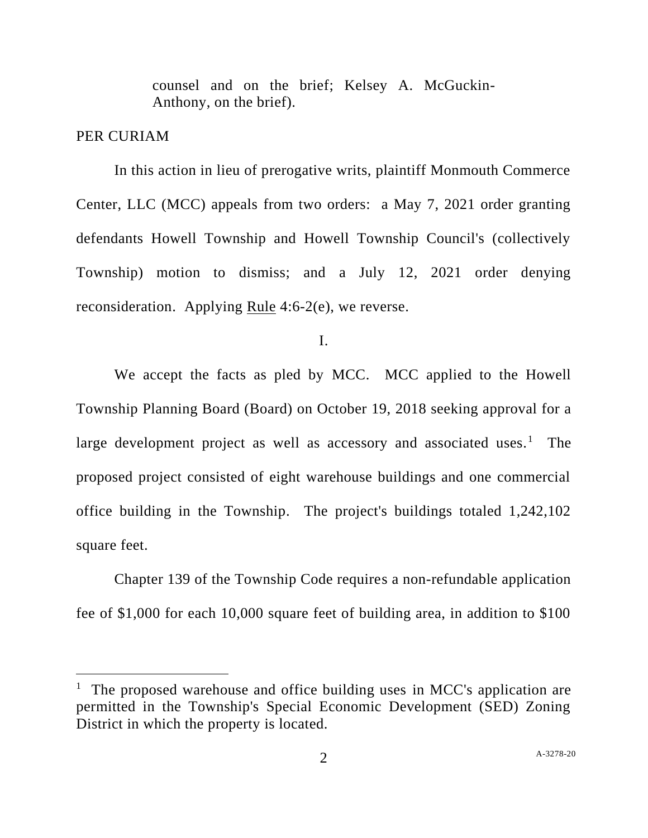counsel and on the brief; Kelsey A. McGuckin-Anthony, on the brief).

### PER CURIAM

In this action in lieu of prerogative writs, plaintiff Monmouth Commerce Center, LLC (MCC) appeals from two orders: a May 7, 2021 order granting defendants Howell Township and Howell Township Council's (collectively Township) motion to dismiss; and a July 12, 2021 order denying reconsideration. Applying Rule 4:6-2(e), we reverse.

I.

We accept the facts as pled by MCC. MCC applied to the Howell Township Planning Board (Board) on October 19, 2018 seeking approval for a large development project as well as accessory and associated uses.<sup>1</sup> The proposed project consisted of eight warehouse buildings and one commercial office building in the Township. The project's buildings totaled 1,242,102 square feet.

Chapter 139 of the Township Code requires a non-refundable application fee of \$1,000 for each 10,000 square feet of building area, in addition to \$100

<sup>&</sup>lt;sup>1</sup> The proposed warehouse and office building uses in MCC's application are permitted in the Township's Special Economic Development (SED) Zoning District in which the property is located.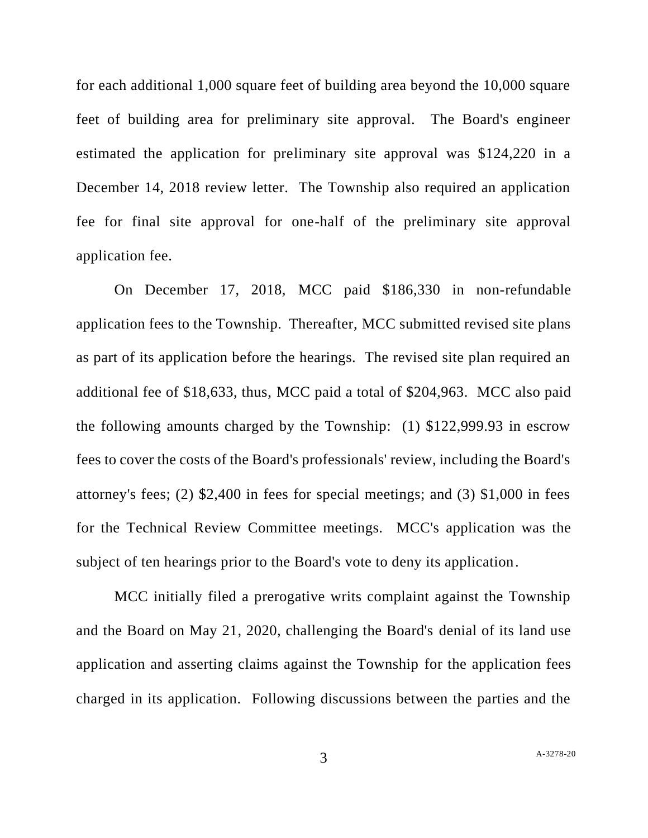for each additional 1,000 square feet of building area beyond the 10,000 square feet of building area for preliminary site approval. The Board's engineer estimated the application for preliminary site approval was \$124,220 in a December 14, 2018 review letter. The Township also required an application fee for final site approval for one-half of the preliminary site approval application fee.

On December 17, 2018, MCC paid \$186,330 in non-refundable application fees to the Township. Thereafter, MCC submitted revised site plans as part of its application before the hearings. The revised site plan required an additional fee of \$18,633, thus, MCC paid a total of \$204,963. MCC also paid the following amounts charged by the Township: (1) \$122,999.93 in escrow fees to cover the costs of the Board's professionals' review, including the Board's attorney's fees; (2) \$2,400 in fees for special meetings; and (3) \$1,000 in fees for the Technical Review Committee meetings. MCC's application was the subject of ten hearings prior to the Board's vote to deny its application.

MCC initially filed a prerogative writs complaint against the Township and the Board on May 21, 2020, challenging the Board's denial of its land use application and asserting claims against the Township for the application fees charged in its application. Following discussions between the parties and the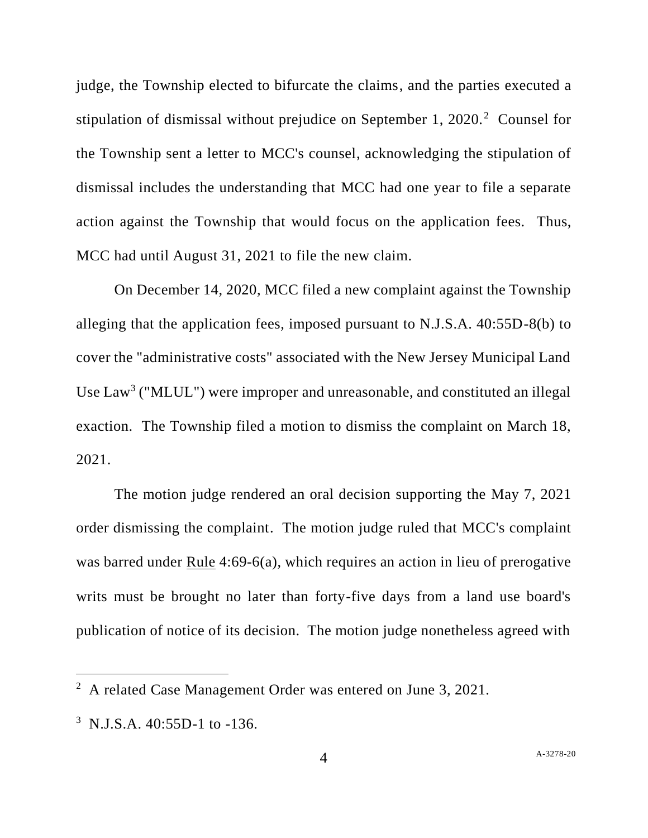judge, the Township elected to bifurcate the claims, and the parties executed a stipulation of dismissal without prejudice on September 1,  $2020$ <sup>2</sup> Counsel for the Township sent a letter to MCC's counsel, acknowledging the stipulation of dismissal includes the understanding that MCC had one year to file a separate action against the Township that would focus on the application fees. Thus, MCC had until August 31, 2021 to file the new claim.

On December 14, 2020, MCC filed a new complaint against the Township alleging that the application fees, imposed pursuant to N.J.S.A. 40:55D-8(b) to cover the "administrative costs" associated with the New Jersey Municipal Land Use  $Law<sup>3</sup>$  ("MLUL") were improper and unreasonable, and constituted an illegal exaction. The Township filed a motion to dismiss the complaint on March 18, 2021.

The motion judge rendered an oral decision supporting the May 7, 2021 order dismissing the complaint. The motion judge ruled that MCC's complaint was barred under Rule 4:69-6(a), which requires an action in lieu of prerogative writs must be brought no later than forty-five days from a land use board's publication of notice of its decision. The motion judge nonetheless agreed with

 $2^2$  A related Case Management Order was entered on June 3, 2021.

<sup>&</sup>lt;sup>3</sup> N.J.S.A. 40:55D-1 to -136.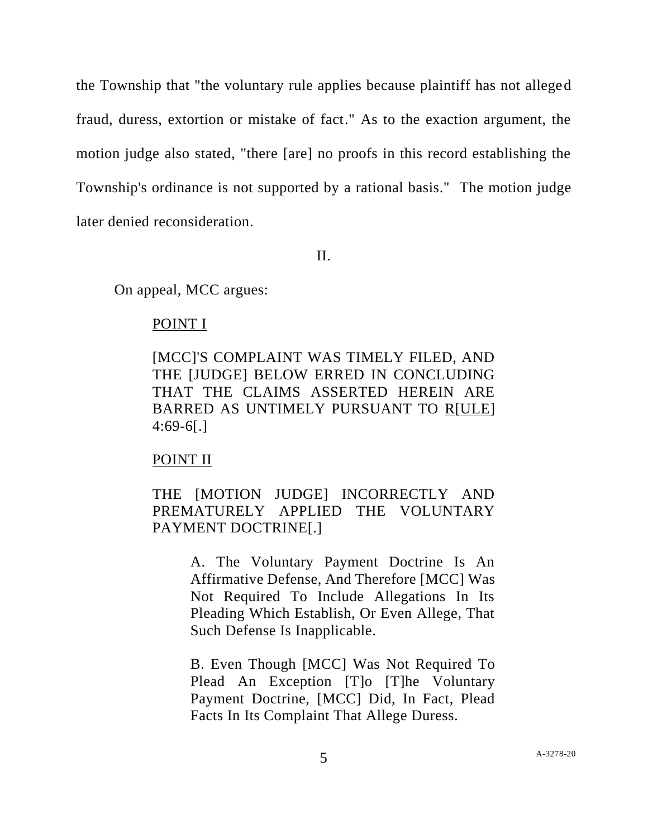the Township that "the voluntary rule applies because plaintiff has not alleged fraud, duress, extortion or mistake of fact." As to the exaction argument, the motion judge also stated, "there [are] no proofs in this record establishing the Township's ordinance is not supported by a rational basis." The motion judge later denied reconsideration.

II.

On appeal, MCC argues:

#### POINT I

[MCC]'S COMPLAINT WAS TIMELY FILED, AND THE [JUDGE] BELOW ERRED IN CONCLUDING THAT THE CLAIMS ASSERTED HEREIN ARE BARRED AS UNTIMELY PURSUANT TO R[ULE] 4:69-6[.]

#### POINT II

### THE [MOTION JUDGE] INCORRECTLY AND PREMATURELY APPLIED THE VOLUNTARY PAYMENT DOCTRINE[.]

A. The Voluntary Payment Doctrine Is An Affirmative Defense, And Therefore [MCC] Was Not Required To Include Allegations In Its Pleading Which Establish, Or Even Allege, That Such Defense Is Inapplicable.

B. Even Though [MCC] Was Not Required To Plead An Exception [T]o [T]he Voluntary Payment Doctrine, [MCC] Did, In Fact, Plead Facts In Its Complaint That Allege Duress.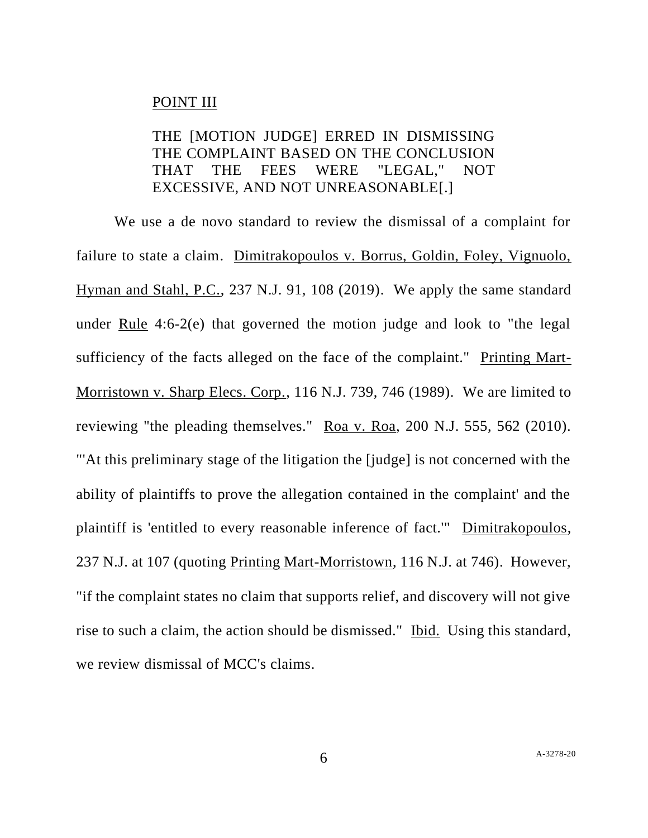#### POINT III

## THE [MOTION JUDGE] ERRED IN DISMISSING THE COMPLAINT BASED ON THE CONCLUSION THAT THE FEES WERE "LEGAL," NOT EXCESSIVE, AND NOT UNREASONABLE[.]

We use a de novo standard to review the dismissal of a complaint for failure to state a claim. Dimitrakopoulos v. Borrus, Goldin, Foley, Vignuolo, Hyman and Stahl, P.C., 237 N.J. 91, 108 (2019). We apply the same standard under Rule 4:6-2(e) that governed the motion judge and look to "the legal sufficiency of the facts alleged on the face of the complaint." Printing Mart-Morristown v. Sharp Elecs. Corp., 116 N.J. 739, 746 (1989). We are limited to reviewing "the pleading themselves." Roa v. Roa, 200 N.J. 555, 562 (2010). "'At this preliminary stage of the litigation the [judge] is not concerned with the ability of plaintiffs to prove the allegation contained in the complaint' and the plaintiff is 'entitled to every reasonable inference of fact.'" Dimitrakopoulos, 237 N.J. at 107 (quoting Printing Mart-Morristown, 116 N.J. at 746). However, "if the complaint states no claim that supports relief, and discovery will not give rise to such a claim, the action should be dismissed." Ibid. Using this standard, we review dismissal of MCC's claims.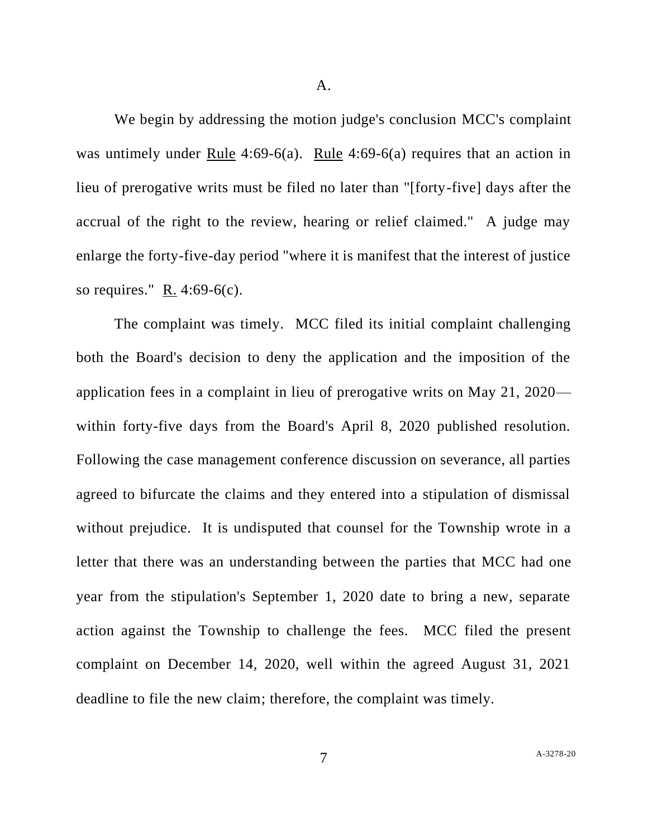A.

We begin by addressing the motion judge's conclusion MCC's complaint was untimely under Rule 4:69-6(a). Rule 4:69-6(a) requires that an action in lieu of prerogative writs must be filed no later than "[forty-five] days after the accrual of the right to the review, hearing or relief claimed." A judge may enlarge the forty-five-day period "where it is manifest that the interest of justice so requires."  $R. 4:69-6(c)$ .

The complaint was timely. MCC filed its initial complaint challenging both the Board's decision to deny the application and the imposition of the application fees in a complaint in lieu of prerogative writs on May 21, 2020 within forty-five days from the Board's April 8, 2020 published resolution. Following the case management conference discussion on severance, all parties agreed to bifurcate the claims and they entered into a stipulation of dismissal without prejudice. It is undisputed that counsel for the Township wrote in a letter that there was an understanding between the parties that MCC had one year from the stipulation's September 1, 2020 date to bring a new, separate action against the Township to challenge the fees. MCC filed the present complaint on December 14, 2020, well within the agreed August 31, 2021 deadline to file the new claim; therefore, the complaint was timely.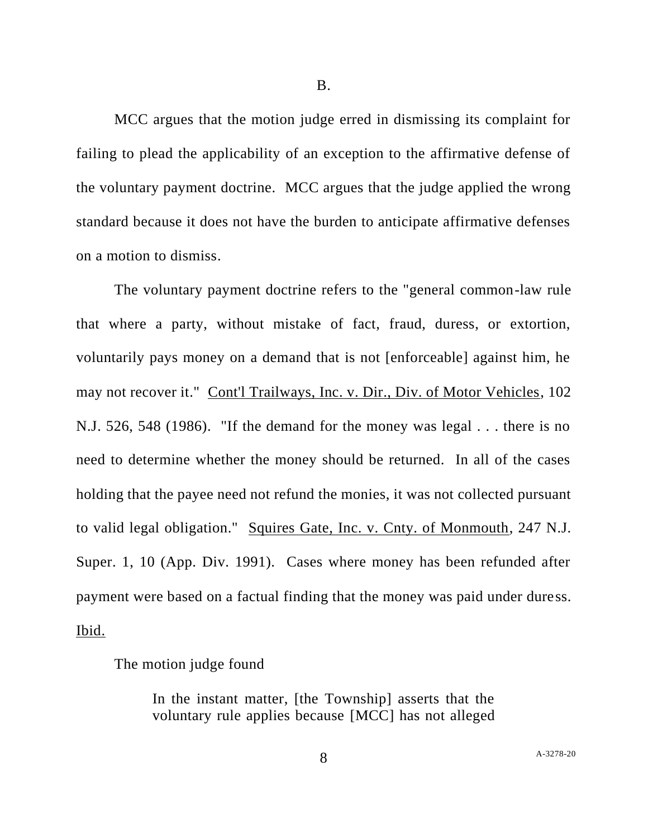MCC argues that the motion judge erred in dismissing its complaint for failing to plead the applicability of an exception to the affirmative defense of the voluntary payment doctrine. MCC argues that the judge applied the wrong standard because it does not have the burden to anticipate affirmative defenses on a motion to dismiss.

The voluntary payment doctrine refers to the "general common-law rule that where a party, without mistake of fact, fraud, duress, or extortion, voluntarily pays money on a demand that is not [enforceable] against him, he may not recover it." Cont'l Trailways, Inc. v. Dir., Div. of Motor Vehicles, 102 N.J. 526, 548 (1986). "If the demand for the money was legal . . . there is no need to determine whether the money should be returned. In all of the cases holding that the payee need not refund the monies, it was not collected pursuant to valid legal obligation." Squires Gate, Inc. v. Cnty. of Monmouth, 247 N.J. Super. 1, 10 (App. Div. 1991). Cases where money has been refunded after payment were based on a factual finding that the money was paid under duress. Ibid.

The motion judge found

In the instant matter, [the Township] asserts that the voluntary rule applies because [MCC] has not alleged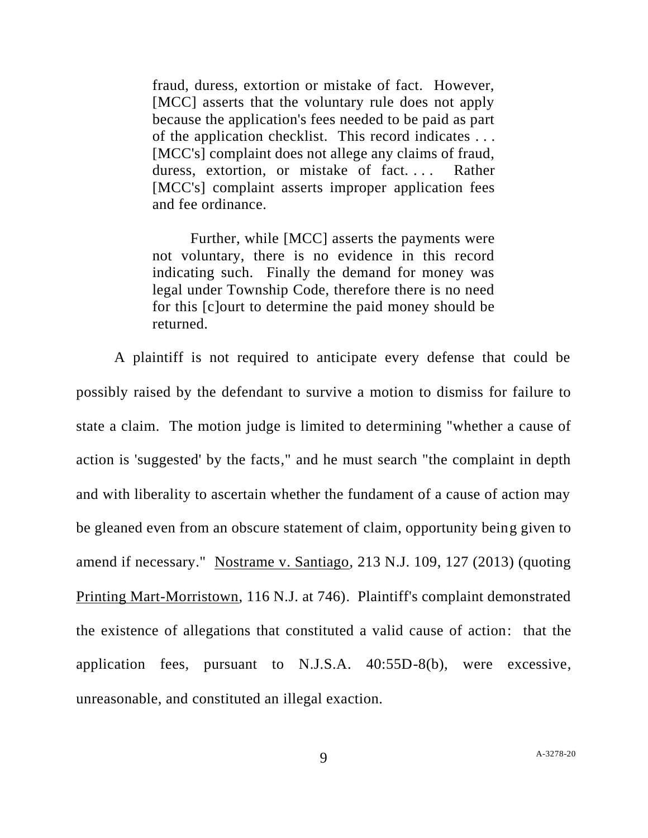fraud, duress, extortion or mistake of fact. However, [MCC] asserts that the voluntary rule does not apply because the application's fees needed to be paid as part of the application checklist. This record indicates . . . [MCC's] complaint does not allege any claims of fraud, duress, extortion, or mistake of fact.... Rather [MCC's] complaint asserts improper application fees and fee ordinance.

Further, while [MCC] asserts the payments were not voluntary, there is no evidence in this record indicating such. Finally the demand for money was legal under Township Code, therefore there is no need for this [c]ourt to determine the paid money should be returned.

A plaintiff is not required to anticipate every defense that could be possibly raised by the defendant to survive a motion to dismiss for failure to state a claim. The motion judge is limited to determining "whether a cause of action is 'suggested' by the facts," and he must search "the complaint in depth and with liberality to ascertain whether the fundament of a cause of action may be gleaned even from an obscure statement of claim, opportunity being given to amend if necessary." Nostrame v. Santiago, 213 N.J. 109, 127 (2013) (quoting Printing Mart-Morristown, 116 N.J. at 746). Plaintiff's complaint demonstrated the existence of allegations that constituted a valid cause of action: that the application fees, pursuant to N.J.S.A. 40:55D-8(b), were excessive, unreasonable, and constituted an illegal exaction.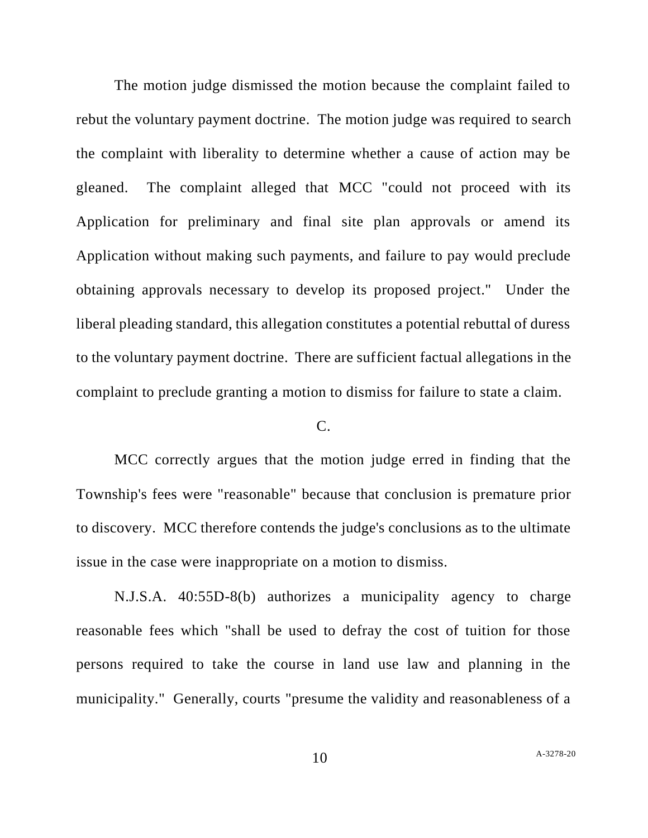The motion judge dismissed the motion because the complaint failed to rebut the voluntary payment doctrine. The motion judge was required to search the complaint with liberality to determine whether a cause of action may be gleaned. The complaint alleged that MCC "could not proceed with its Application for preliminary and final site plan approvals or amend its Application without making such payments, and failure to pay would preclude obtaining approvals necessary to develop its proposed project." Under the liberal pleading standard, this allegation constitutes a potential rebuttal of duress to the voluntary payment doctrine. There are sufficient factual allegations in the complaint to preclude granting a motion to dismiss for failure to state a claim.

### $C<sub>c</sub>$

MCC correctly argues that the motion judge erred in finding that the Township's fees were "reasonable" because that conclusion is premature prior to discovery. MCC therefore contends the judge's conclusions as to the ultimate issue in the case were inappropriate on a motion to dismiss.

N.J.S.A. 40:55D-8(b) authorizes a municipality agency to charge reasonable fees which "shall be used to defray the cost of tuition for those persons required to take the course in land use law and planning in the municipality." Generally, courts "presume the validity and reasonableness of a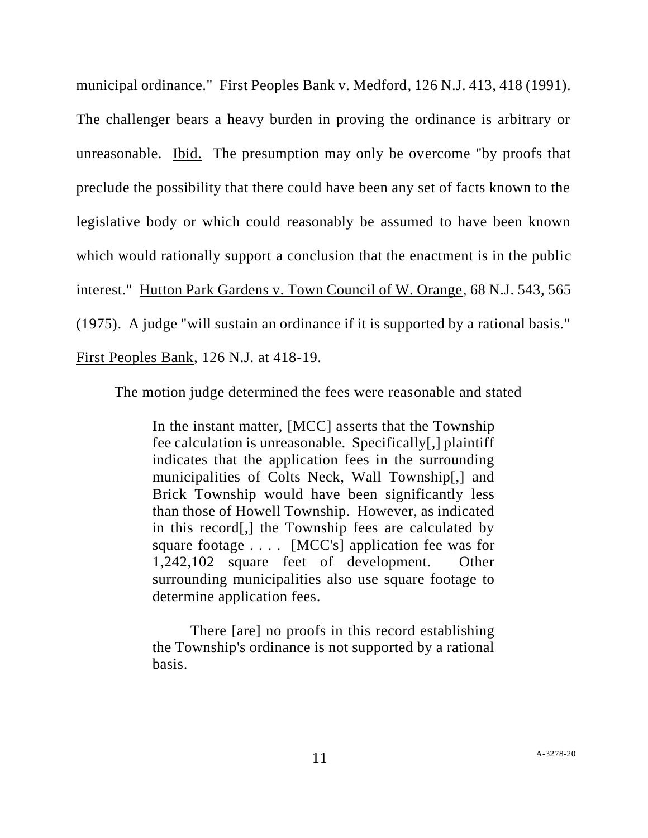municipal ordinance." First Peoples Bank v. Medford, 126 N.J. 413, 418 (1991). The challenger bears a heavy burden in proving the ordinance is arbitrary or unreasonable. Ibid. The presumption may only be overcome "by proofs that preclude the possibility that there could have been any set of facts known to the legislative body or which could reasonably be assumed to have been known which would rationally support a conclusion that the enactment is in the public interest." Hutton Park Gardens v. Town Council of W. Orange, 68 N.J. 543, 565 (1975). A judge "will sustain an ordinance if it is supported by a rational basis." First Peoples Bank, 126 N.J. at 418-19.

The motion judge determined the fees were reasonable and stated

In the instant matter, [MCC] asserts that the Township fee calculation is unreasonable. Specifically[,] plaintiff indicates that the application fees in the surrounding municipalities of Colts Neck, Wall Township[,] and Brick Township would have been significantly less than those of Howell Township. However, as indicated in this record[,] the Township fees are calculated by square footage . . . . [MCC's] application fee was for 1,242,102 square feet of development. Other surrounding municipalities also use square footage to determine application fees.

There [are] no proofs in this record establishing the Township's ordinance is not supported by a rational basis.